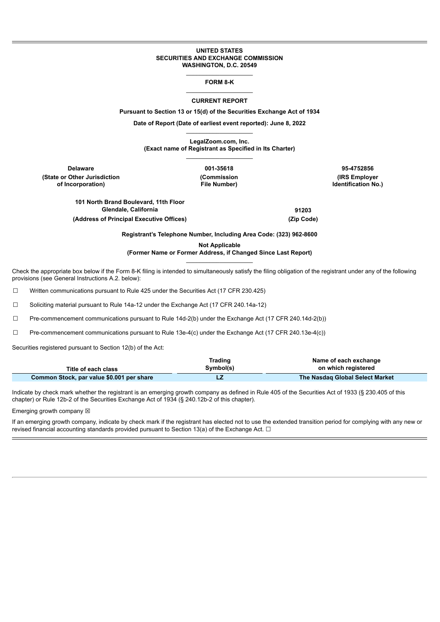#### **UNITED STATES SECURITIES AND EXCHANGE COMMISSION WASHINGTON, D.C. 20549**

### \_\_\_\_\_\_\_\_\_\_\_\_\_\_\_\_\_\_\_\_ **FORM 8-K** \_\_\_\_\_\_\_\_\_\_\_\_\_\_\_\_\_\_\_\_

### **CURRENT REPORT**

**Pursuant to Section 13 or 15(d) of the Securities Exchange Act of 1934**

**Date of Report (Date of earliest event reported): June 8, 2022** \_\_\_\_\_\_\_\_\_\_\_\_\_\_\_\_\_\_\_\_

**LegalZoom.com, Inc.**

**(Exact name of Registrant as Specified in Its Charter)**  $\mathcal{L}=\mathcal{L}^{\mathcal{L}}$  , where  $\mathcal{L}^{\mathcal{L}}$  , we have the set of the set of the set of the set of the set of the set of the set of the set of the set of the set of the set of the set of the set of the set of the set of

**Delaware 001-35618 95-4752856 (State or Other Jurisdiction of Incorporation)**

**(Commission File Number)**

**(IRS Employer Identification No.)**

**101 North Brand Boulevard, 11th Floor Glendale, California 91203 (Address of Principal Executive Offices) (Zip Code)**

**Registrant's Telephone Number, Including Area Code: (323) 962-8600**

**Not Applicable**

**(Former Name or Former Address, if Changed Since Last Report)** \_\_\_\_\_\_\_\_\_\_\_\_\_\_\_\_\_\_\_\_

Check the appropriate box below if the Form 8-K filing is intended to simultaneously satisfy the filing obligation of the registrant under any of the following provisions (see General Instructions A.2. below):

☐ Written communications pursuant to Rule 425 under the Securities Act (17 CFR 230.425)

☐ Soliciting material pursuant to Rule 14a-12 under the Exchange Act (17 CFR 240.14a-12)

☐ Pre-commencement communications pursuant to Rule 14d-2(b) under the Exchange Act (17 CFR 240.14d-2(b))

☐ Pre-commencement communications pursuant to Rule 13e-4(c) under the Exchange Act (17 CFR 240.13e-4(c))

Securities registered pursuant to Section 12(b) of the Act:

|                                           | Trading   | Name of each exchange           |
|-------------------------------------------|-----------|---------------------------------|
| Title of each class                       | Symbol(s) | on which registered             |
| Common Stock, par value \$0.001 per share |           | The Nasdag Global Select Market |

Indicate by check mark whether the registrant is an emerging growth company as defined in Rule 405 of the Securities Act of 1933 (§ 230.405 of this chapter) or Rule 12b-2 of the Securities Exchange Act of 1934 (§ 240.12b-2 of this chapter).

Emerging growth company  $\boxtimes$ 

If an emerging growth company, indicate by check mark if the registrant has elected not to use the extended transition period for complying with any new or revised financial accounting standards provided pursuant to Section 13(a) of the Exchange Act. □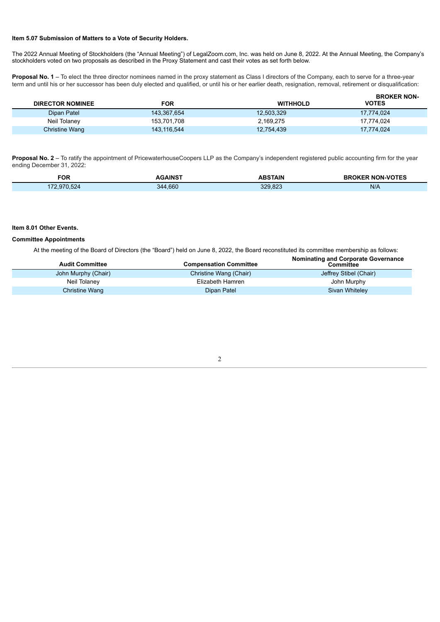## **Item 5.07 Submission of Matters to a Vote of Security Holders.**

The 2022 Annual Meeting of Stockholders (the "Annual Meeting") of LegalZoom.com, Inc. was held on June 8, 2022. At the Annual Meeting, the Company's stockholders voted on two proposals as described in the Proxy Statement and cast their votes as set forth below.

Proposal No. 1 - To elect the three director nominees named in the proxy statement as Class I directors of the Company, each to serve for a three-year term and until his or her successor has been duly elected and qualified, or until his or her earlier death, resignation, removal, retirement or disqualification:

| <b>DIRECTOR NOMINEE</b> | FOR         | <b>WITHHOLD</b> | <b>BROKER NON-</b><br><b>VOTES</b> |
|-------------------------|-------------|-----------------|------------------------------------|
| Dipan Patel             | 143,367,654 | 12,503,329      | 17.774.024                         |
| Neil Tolaney            | 153,701,708 | 2,169,275       | 17.774.024                         |
| <b>Christine Wang</b>   | 143,116,544 | 12,754,439      | 17,774,024                         |

**Proposal No. 2** – To ratify the appointment of PricewaterhouseCoopers LLP as the Company's independent registered public accounting firm for the year ending December 31, 2022:

| <b>FOR</b> | <b>AINS</b>  | <b>BSTAIN</b>      | <b>NON-VOT</b><br>JIEC |
|------------|--------------|--------------------|------------------------|
|            | ,660<br>-344 | $\sim$<br>ההה<br>. | N/A                    |

# **Item 8.01 Other Events.**

### **Committee Appointments**

At the meeting of the Board of Directors (the "Board") held on June 8, 2022, the Board reconstituted its committee membership as follows: **Nominating and Corporate Governance**

| <b>Audit Committee</b> | <b>Compensation Committee</b> | <b>Normality and Corporate Governance</b><br>Committee |
|------------------------|-------------------------------|--------------------------------------------------------|
| John Murphy (Chair)    | Christine Wang (Chair)        | Jeffrey Stibel (Chair)                                 |
| Neil Tolaney           | Elizabeth Hamren              | John Murphy                                            |
| Christine Wang         | Dipan Patel                   | Sivan Whiteley                                         |